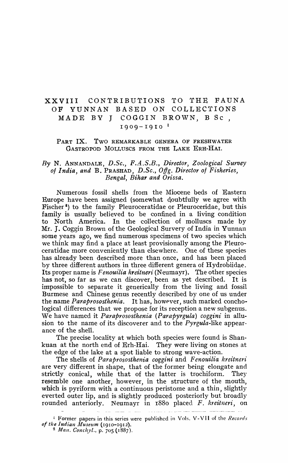# XXVIII CONTRIBUTIONS TO 'fHE FAUNA OF YUNNAN BASED ON COLLECTIONS MADE BY J COGGIN BROWN, B Sc ,  $1909 - 1910$ <sup>1</sup>

### PART IX. TWO REMARKABLE GENERA OF FRESHWATER GASTROPOD MOLLUSCS FROM THE LAKE ERH-HAI.

# By N. ANNANDALE, D.Sc., F.A.S.B., Director, Zoological Survey *of India, and* B. PRASHAD, *D.Sc., O(fg. Director of Fisheries, Bengal, Bihar and Orissa.*

Numerous fossil shells from the Miocene beds of Eastern Europe have been assigned (somewhat doubtfully we agree with Fischer<sup>2</sup>) to the family Pleuroceratidae or Pleuroceridae, but this family is usually believed to be confined in a living condition to North America. In the collection of molluscs made by Mr. J. Coggin Brown of the Geological Survery of India in Yunnan some years ago, we find numerous specimens of two species which we think may find a place at least provisionally among the Pleuroceratidae more conveniently than elsewhere. One of these species has already been described more than once, and has been placed by three different authors in three different genera of Hydrobiidae. Its proper name is *Fenouilia kreitneri* (Neumayr). The other species has not, so far as we can discover, been as yet described. It is impossible to separate it generically from the living and fossil Burmese and Chinese genus recently described by one of us under the name *Paraprososthenia*. It has, however, such marked conchological differences that we propose for its reception a new subgenus. We have named it *Paraprososthenia (Parapyrgula) coggini* in allusion to the name of its discoverer and to the *Pyrgula-like* appearance of the shell.

The precise locality at which both species were found is Shankuan at the north end of Erh-Hai. They were living on stones at the edge of the lake at a spot liable to strong wave-action.

The shells of *Paraprososthenia coggini* and *Fenouilia kreitneri* are very different in shape, that of the former being elongate and strictly conical, while that of the latter is trochiform. They resemble one another, however, in the structure of the mouth, which is pyriform with a continuous peristome and a thin, slightly everted outer lip, and is slightly produced posteriorly but broadly rounded anteriorly. Neumayr in 1880 placed *F. kreitneri*, on

<sup>&</sup>lt;u>a dia mandritra di Babara</u>

<sup>&</sup>lt;sup>1</sup> Former papers in this series were published in Vols. V-VII of the *Records* of the Indian Museum (1910-1912).

<sup>&</sup>lt;sup>2</sup> Man. Conchyl., p. 705 (1887).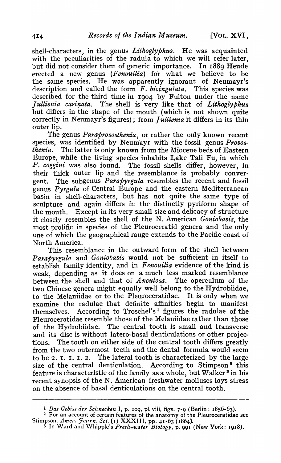shell-characters, in the genus *Lithoglyphus*. He was acquainted with the peculiarities of the radula to which we will refer later. but did not consider them of generic importance. In 1889 Reude erected a new genus *(Fenouilia)* for what we believe to be the same species. He was apparently ignorant of Neumayr's description and called the form *F. bicingulata.* This species was described for the third time in 1904 by Fulton under the name *Jullienia carinata.* The shell is very like that of *Lithoglyphus* but differs in the shape of the mouth (which is not shown quite correctly in Neumayr's figures); from *Jullienia* it differs in its thin outer lip.

The genus *Paraprososthenia*, or rather the only known recent species, was identified by Neumayr with the fossil genus *Prososthenia.* The latter is only known from the Miocene beds of Eastern Europe, while the living species inhabits Lake Tali Fu, in which *P. coggini* was also found. The fossil shells differ, however, in their thick outer lip and the resemblance is probably convergent. The subgenus *Parapyrgula* resembles the recent and fossil genus *Pyrgula* of Central Europe and the eastern Mediterranean basin in shell-characters, but has not quite the same type of sculpture and again differs in the distinctly pyriform shape of the mouth. Except in its very small size and delicacy of structure it closely resembles the shell of the N. American *Goniobasis,* the most prolific in species of the Pleuroceratid genera and the only one of which the geographical range extends to the Pacific coast of North America.

This resemblance in the outward form of the shell between *Parapyrtula* and *Goniobasis* would not be sufficient in itself to establish family identity, and in *Fenouilia* evidence of the kind is weak, depending as it does on a much less marked resemblance<br>between the shell and that of  $\Lambda$ nculosa. The operculum of the between the shell and that of *Anculosa*. two Chinese genera might equally well belong to the Hydrobiidae, to the Melaniidae or to the Pleuroceratidae. It *is* only when we examine the radulae that definite affinities begin to manifest themselves. According to Troschel's<sup>1</sup> figures the radulae of the Pleuroceratidae resemble those of the Melaniidae rather than those of the Hydrobiidae. The central tooth is small and transverse and' its disc is without latero-basal denticulations or other projections. The tooth on either side of the central tooth differs greatly from the two outermost teeth and the dental formula would seem to be 2. I. I. I. 2. The lateral tooth is characterized by the large size of the central denticulation. According to Stimpson<sup>2</sup> this feature is characteristic of the family as a whole, but Walker<sup>8</sup> in his recent synopsis of the N. American freshwater molluscs lays stress on the absence of basal denticulations on the central tooth.

<sup>1</sup> *Das Gebiss der Schnecken* I, p. 109, pI. viii, figs. 7-9 (Berlin: 1856-63).

<sup>&</sup>lt;sup>2</sup> For an account of certain features of the anatomy of the Pleuroceratidae see Stimpson, *Amer. Journ. Sci.* (I) XXXIII, pp. 41-63 (1864).

<sup>3</sup> In Ward and Whipple's *Fresh-water Biology,* p. 991 (New York: 1918).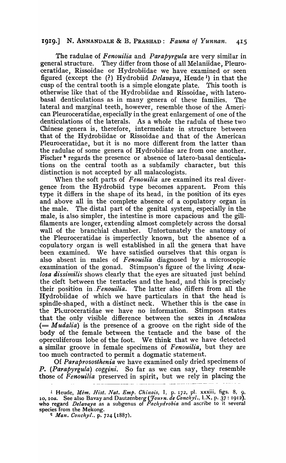# 1919.] N. ANNANDALE & B. PRASHAD: *Fauna 0/ Yunnan. 415*

The radulae of *Fenouilia* and *Parapyrgula* are very similar in general structure. They differ from those of all Melaniidae, Pleuroceratidae, Rissoidae or Hydrobiidae we have examined or seen figured (except the (?) Hydrobiid *Delavaya,* Heude)) in that the cusp of the central tooth is a simple elongate plate. This tooth is otherwise like that of the Hydrobiidae and Rissoidae, with laterobasal denticulations as in many genera of these families. The lateral and marginal teeth, however, resemble those of the American Pleuroceratidae, especially in the great enlargement of one of the denticulations of the laterals. As a whole the radula of these two Chinese genera is, therefore, intermediate in structure between that of the Hydrobiidae or Rissoidae and that of the American Pleuroceratidae, but it is no more different from the latter than the radulae of some genera of Hydrobiidae are from one another. Fischer<sup>9</sup> regards the presence or absence of latero-basal denticulations on the central tooth as a subfamily character, but this distinction is not accepted by all malacologists.

When the soft parts of *Fenouilia* are examined its real divergence from the Hydrobiid type becomes apparent. From this type it differs in the shape of its head, in the position of its eyes and above all in the complete absence of a copulatory organ in the male. The distal part of the genital system, especially in the male, is also simpler, the intestine is more capacious and the gilI filaments are longer, extending almost completely across the dorsal wall of the branchial chamber. Unfortunately the anatomy of the Pleuroceratidae is imperfectly known, but the absence of a copulatory organ is well established in all the genera that have been examined. We have satisfied ourselves that this organ is also absent in males of *Fenouilia* diagnosed by a microscopic examination of the gonad. Stimpson's figure of the living *Anculosa dissimilis* shows clearly that the eyes are situated just behind the cleft between the tentacles and the head, and this is precisely their position in *Fenouilia*. The latter also differs from all the Hydrobiidae of which we have particulars in that the head is spindle-shaped, with a distinct neck. Whether this is the case in the Pleuroceratidae we have no information. Stimpson states that the only visible difference between the sexes in *Anculosa*  (= *M udalia)* is the presence of a groove on the right side of the body of the female between the tentacle and the base of the operculiferous lobe of the foot. We think that we have detected a similar groove in female specimens of Fenouilia, but they are too much contracted to permit a dogmatic statement.

Of *Paraprososthenia* we have examined only dried specimens of *P. (Parapyrgula) coggini.* So far as we can say, they resemble those of *Fenouilia* preserved in spirit, but we rely in placing the

<sup>2</sup> *Man. Conchyl.*, p. 724 (1887).

<sup>1</sup> Heude, *Mem. Hist. Nat. Emp. Chinois,* I, p. 172, pI. xxxiii, figs. 8, 9, 10, loa. See also Bavayand Dautzenberg *(Journ. de Conc/zyl.,* LX, p. 37: 1912), who regard *Delavaya* as a subgenus of *Pachydrobia* and ascribe to it several species from the Mekong.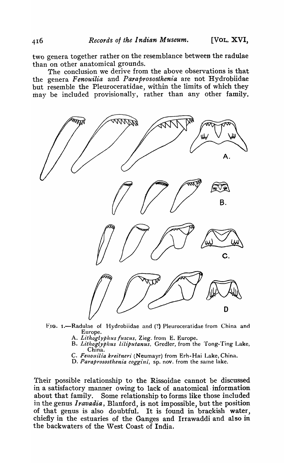two genera together rather on the resemblance between the radulae than on other anatomical grounds.

The conclusion we derive from the above observations is that the genera Fenouilia and Paraprososthenia are not Hydrobiidae but resemble the Pleuroceratidae, within the limits of which they may be included provisionally, rather than any other family.



FIG. I.-Radulae of Hydrobiidae and (?) Pleuroceratidae from China and Europe.

- A. Lithoglyphus fuscus, Zieg. from E. Europe.
- B. *Lithoglyphus liliputanus*, Gredler, from the Tong-Ting Lake, China.
- C. Fenouilia kreitneri (Neumayr) from Erh-Hai Lake, China.
- D. Paraprososthenia coggini, sp. nov. from the same lake.

Their possible relationship to the Rissoidae cannot be discussed in a satisfactory manner owing to lack of anatomical· information about that family. Some relationship to forms like those included in the.genus *Iravadia,* Blanford, is not impossible, but the position of that genus is also doubtful. It is found in brackish water, chiefly in the estuaries of the Ganges and Irrawaddi and also in the backwaters of the West Coast of India.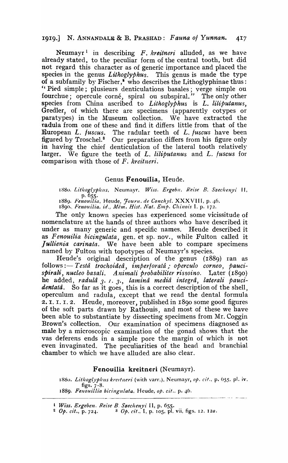## 1919.] N. ANNANDALE & B. PRASHAD: *Fauna of Yunnan. 4*<sup>1</sup> *7*

Neumayr 1 in describing F. *kreitneri* alluded, as we have already stated, to the peculiar form of the central tooth, but did not regard this character as of generic importance and placed the species in the genus *Lithoglyphus*. This genus is made the type of a subfamily by Fischer, $^*$  who describes the Lithoglyphinae thus: "Pied simple; plusieurs denticulations basales; verge simple ou fourchue; opercule corné, spiral ou subspiral." The only other species from China ascribed to *Lithoglyphus* is *L. liliputanus*, Gredler, of which there are specimens (apparently cotypes or paratypes) in the Museum collection. We have extracted the radula from one of these and find it differs little from that of the **European L. fuscus.** The radular teeth of L. fuscus have been figured by Troschel.<sup>8</sup> Our preparation differs from his figure only in having the chief denticulation of the lateral tooth relatively larger. We figure the teeth of *L. liliputanus* and *L. fuscus* for comparison \vith those of F. *kreitneri.* 

## Genus Fenouilia, Heude.

1880. *Lithoglyphus*, Neumayr, *Wiss. Ergebn. Reise B. Szechenyi* II, p.655·

1889. Fenouilia, Heude, Journ. de Conchyl. XXXVIII, p. 46. 1890. Fenouilia, id., Mém. Hist. Nat. Emp. Chinois I. p. 172.

The only known species has experienced some vicissitude of nomenclature at the hands of three authors who have described it under as many generic and specific names. Heude described it as Fenouilia bicingulata, gen. et sp. nov., while Fulton called it *] ullienia carinata.* We have been able to compare specimens named by Fulton with topotypes of Neumayr's species.

Heude's original description of the genus (1889) ran as follows :- Testâ trochoideâ, imperforatâ ; operculo corneo, pauci*spirali, nucleo basali. A nitnali probabiliter rissoino.* Later (1890) he added, radulâ 3. 1. 3., laminâ mediâ integrâ, laterali pauci*dentatâ*. So far as it goes, this is a correct description of the shell, operculum and radula, except that we read the dental formula 2. I. I. I. 2. Heude, moreover, published in 1890 some good figures of the soft parts drawn by Rathouis, and most of these we have been able to substantiate by dissecting specimens from Mr. Coggin Brown's collection. Our examination of specimens diagnosed as male by a microscopic examination of the gonad shows that the vas deferens ends in a simple pore the margin of which is not even invaginated. The peculiarities of the head and branchial chamber to which we have alluded are also clear.

#### Fenouilia kreitneri (Neumayr).

1880. *Lithoglyphus kreitneri* (with varr.), Neumayr, *op. cit.*, p. 655. pl. iv. figs.  $7 - 8$ . 1889. *Fellouz'll£a bicinglllata.* Heude, *Ope cit.,* p. 4-6. -------------------- -- - ----

l *Wiss. Ergeben. Reise B. Szechenyi* II, p. 655.<br><sup>2</sup> Op. cit., p. 724. <sup>3</sup> Op. cit., I, p. 105, pl. <sup>3</sup> Op. cit., I, p. 105, pl. vii, figs. 12, 12a.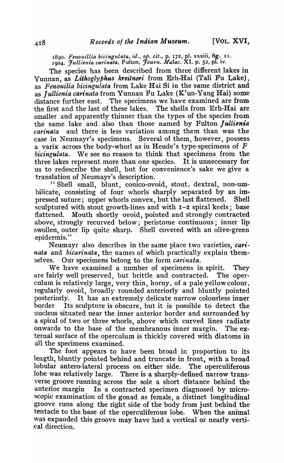1890. *Fenouillia bicingulata, id., op. cit.*, p. 172, pl. xxxiii, fig. 11. 1904. *Jullienia carinata,* Fulton, *Journ. Malac.* XI, p. 52, pI. IV.

The species has been described from three different lakes in Yunnan, as *Lithoglyphus kreitneri* from Erh-Hai (Tali Fu Lake), as *Fenouilia bicingu'/ata* from Lake Rai Si in the same district and as *jullienia carinata* from Yunnan Fu Lake (K'un-Yang Rai) some distance further east. The specimens we have examined are from the first and the last of these lakes. The shells from  $E$ rh-Hai are smaller and apparently thinner than the types of the species from the same lake and also than those named by Fulton Jullienia *carinata* and there is less variation among them than was the case in Neumayr's specimens. Several of them, however, possess a varix across the body-whorl as in Heude's type-specimens of  $F$ *bicingulata.* We see no reason to think that specimens from the three lakes represent more than one species. It is unnecessary for us to redescribe the shell, but for convenience's sake we give a translation of Neumayr's description.

"Shell small, blunt, conico-ovoid, stout. dextral, non-umbilicate, consisting of four whorls sharply separated by an impressed suture; upper whorls convex, but the last flattened. Shell sculptured with stout growth-lines and with I-2 spiral keels; base flattened. Mouth shortly ovoid, pointed and strongly contracted above, strongly recurved below; peristome continuous; inner lip swollen, outer lip quite sharp. Shell covered with an olive-green epidermis."

- Neumayr also describes in the same place two varieties, *carinata* and *bicarinata*, the names of which practically explain themselves. Our specimens belong to the form *carinata.* 

We have examined a number of specimens in spirit. They are fairly well preserved, but brittle and contracted. The operculum is relatively large, very thin, horny, of a pale yellow colour, regularly ovoid, broadly rounded anteriorly and bluntly pointed posteriorly. It has an extremely delicate narrow colourless inner border Its sculpture is obscure, but it is possible to detect the nucleus situated near the inner anterior border and surrounded by a spiral of two or three whorls, above which curved lines radiate onwards to the base of the membranous inner margin. The external surface of the operculum is thickly covered with diatoms in a11 the specimens examined.

The foot appears to have been broad in proportion to its length, bluntly pointed behind and truncate in front, with a broad lobular antero-Iateral process on either side. The operculiferous lobe was relatively large. There is a sharply-defined narrow transverse groove running across the sole a short distance behind the anterior margin In a contracted specimen diagnosed by microscopic examination of the gonad as female, a distinct longitudinal groove runs along the right side of the body from just behind the tentacle to the base of the operculiferous lobe. When the animal was expanded this groove may have had a vertical or nearly vertical direction.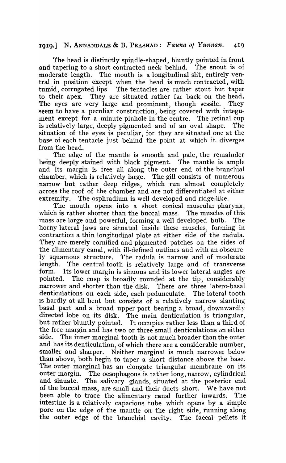# 1919.] N. ANNANDALE & B. PRASHAD: *Fauna of Yunnan.* 419

The head is distinctly spindle-shaped, bluntly pointed in front and tapering to a short contracted neck behind. The snout is of moderate length. The mouth is a longitudinal slit, entirely ventral in position except when the head is much contracted, with tumid, corrugated. lips 'fhe tentacles are rather stout but taper to their apex. They are situated rather far back on the head. The eyes are very large and prominent, though sessile. They seem to have a peculiar construction, being covered with integument except for a minute pinhole in the centre. The retinal cup is relatively large, deeply pigmented and of an oval shape. The situation of the eyes is peculiar, for they are situated one at the base of each tentacle just behind the point at which it diverges from the head.

The edge of the mantle is smooth and pale, the remainder being deeply stained with black pigment. The mantle is ample and its margin is free all along the outer end of the branchial chamber, which is relatively large. The gill consists of numerous narrow but rather deep ridges, which run almost completely across the roof of the chamber and are not differentiated at either extremity. The osphradium is well developed and ridge-like. The osphradium is well developed and ridge-like.

The mouth opens into a short conical muscular pharynx, which is rather shorter than the buccal mass. The muscles of this mass are large and powerful, forming a well developed bulb. The horny lateral jaws are situated inside these muscles, forming in contraction a thin longitudinal plate at either side of the radula. They are merely cornified and pigmented patches on the sides of the alimentary canal, with ill-defined outlines and \vith an obscurely squamous structure. The radula is narrow and of moderate length. The central tooth is relatively large and of transverse form. Its lower margin is sinuous and its lower lateral angles are pointed. The cusp is broadly rounded at the tip, considerably narrower and shorter than the disk. There are three latero-basal denticulations on each side, each pedunculate. The lateral tooth IS hardly at all bent but consists of a relatively narrow slanting basal part and a broad upper part bearing a broad, downwardly directed lobe on its disk. The main denticulation is triangular, but rather bluntly pointed. It occupies rather less than a third of the free margin and has two or three small denticulations on either side. The inner marginal tooth is not much broader than the outer and has its denticulation, of which there are a considerable number, smaller and sharper. Neither marginal is much narrower below than above, both begin to taper a short distance above the base. The outer marginal has an elongate triangular membrane on its outer margin. The oesophagous is rather long, narrow, cylindrical and sinuate. The salivary glands, situated at the posterior end of the buccal mass, are small and their ducts short. We have not been able to trace the alimentary canal further inwards. The intestine is a relatively capacious tube which opens by a simple pore on the edge of the mantle on the right side, running along the outer edge of the branchial cavity. The faecal pellets it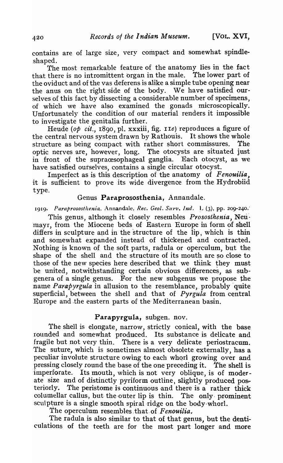contains are of large size, very compact and somewhat spindleshaped.

The most remarkable feature of the anatomy lies in the fact that there is no intromittent organ in the male. The lower part of the oviduct and of the vas deferens is alike a simple tube opening near the anus on the right side of the body. We have satisfied ourselves of this fact by dissecting a considerable number of specimens. of which we have also examined the gonads microscopically. Unfortunately the condition of our material renders it impossible to investigate the genitalia further.

Heude (op *cit.*, 1890, pl. xxxiii, fig. 11e) reproduces a figure of the central nervous system drawn by Rathouis. It shows the whole structure as being compact with rather short commissures. The optic nerves are, however, long. The otocysts are situated just in front of the supracesophageal ganglia. Each otocyst, as we have satisfied ourselves, contains a single circular otocyst.

Imperfect as is this description of the anatomy of *Fenouilia*, it is sufficient to prove its wide divergence from the Hydrobiid type.

# Genus Paraprososthenia, Annandale.

1919. Paraprososthenia, Annandale, *Rec. Geol. Surv. Ind.* L (3), pp. 209-240.

This genus, although it closely resembles *Prososthenia,* Neri'· mayr, from the Miocene beds of Eastern Europe in form of shell differs in sculpture and in the structure of the lip, which is thin and somewhat expanded instead of thickened and contracted. Nothing is known of the soft parts, radula or operculum, but the shape of the shell and the structure of its mouth are so close to those of the new species here described that we think they must be united, notwithstanding certain obvious differences, as subgenera of a single genus. For the new subgenus we propose the name *Parapyrgula* in allusion to the resemblance, probably quite superficial, between the shell and that of *Pyrgula* from central Europe and .the eastern parts of the'Mediterranean basin.

## Parapyrgula, subgen. nov.

The shell is elongate, narrow, strictly conical, with the base rounded and somewhat produced. Its substance is delicate and fragile but not very thin. There is a very delicate periostracum. The suture, which is sometimes almost obsolete externally, has a peculiar involute structure owing to each whorl growing over and pressing closely round the base of the one preceding it. The shell is imperforate. Its mouth, which is not very Oblique, is of moderate size and of distinctly pyriform outline, slightly produced pos~ teriorly. The peristome is continuous and there is a rather thick columellar callus, but the outer lip is thin. The only prominent sculpture is a single smooth spiral ridge on the body-whorl.

The operculum resembles that of Fenouilia.

The radula is also similar to that of that genus, but the denticulations of the teeth are for the most part longer and more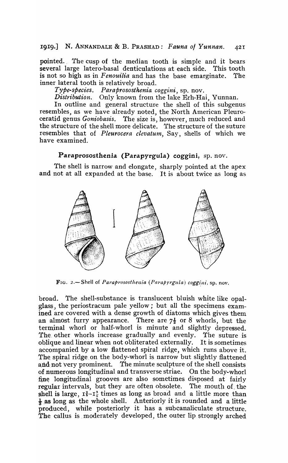pointed. The cusp of the median tooth is simple and it bears several large latero-basal denticulations at each side. This tooth is not so high as in *Fenouilia* and has the base emarginate. The inner lateral tooth is relatively broad.

Type-species. Paraprososthenia coggini, sp. nov.

Distribution. Only known from the lake Erh-Hai, Yunnan.

In outline and general structure the shell of this subgenus resembles, as we have already noted, the North American Pleuroceratid genus *Goniobasis.* The size is, however, much reduced and the structure of the shell more delicate. The structure of the suture resembles that of *Pleurocera clevatum,* Say, shells of which we have examined.

## Paraprososthenia (Parapyrgula) coggini, sp. nov.

The shell is narrow and elongate, sharply pointed at the apex and not at all expanded at the base. It is about twice as long as



FIG. 2.-Shell of *Paraprososthenia (Parapyrgula) coggini*, sp. nov.

broad. The shell-substance is translucent bluish white like opalglass, the periostracum pale yellow; but all the specimens examined are covered with a dense growth of diatoms which gives them an almost furry appearance. There are  $7\frac{1}{2}$  or 8 whorls, but the terminal whorl or half-whorl is minute and slightly depressed. The. other whorls increase gradually and evenly. The suture is oblique and linear when not obliterated externally. It is sometimes accompanied by a low flattened spiral ridge, which runs above it. The spiral ridge on the body-whorl is narrow but slightly flattened and not very prominent. The minute sculpture of the shell consists of numerous longitudinal and transverse striae. On the body-whorl fine longitudinal grooves are also sometimes disposed at fairly regular intervals, but they are often obsolete. The mouth of the shell is large,  $I_5^2-I_5^3$  times as long as broad and a little more than  $\frac{1}{3}$  as long as the whole shell. Anteriorly it is rounded and a little produced, while posteriorly it has a subcanaliculate structure. The callus is moderately developed, the outer lip strongly arched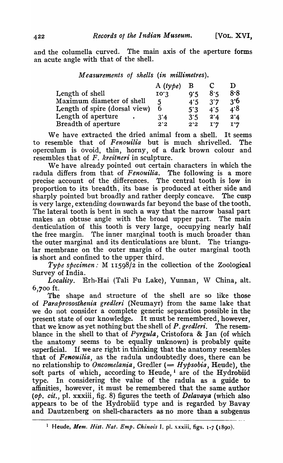and the columella curved. The main axis of the aperture forms an acute angle with that of the shell.

| Measurements of shells (in millimetres). |                  |              |                        |                |
|------------------------------------------|------------------|--------------|------------------------|----------------|
|                                          | A $(t y \phi e)$ | в            |                        | 1)             |
| Length of shell                          | 10.3             | 9.5          | 8.5                    | 8.8            |
| Maximum diameter of shell                | 5                | 4.5          | 3'7                    | 3.6            |
| Length of spire (dorsal view)            | 6                | $5^\circ$ :3 | 4.5                    | 4.8            |
| Length of aperture                       | $3^{\circ}4$     | 3.5          | 2'4                    | 2'4            |
| Breadth of aperture                      | $2^{\cdot}2$     | $2^{\cdot}2$ | $\mathbf{I}^{\bullet}$ | $I^{\bullet}7$ |

We have extracted the dried animal from a shell. It seems to resemble that of *Fenouilia* but is much shrivelled. The operculum is ovoid, thin, horny, of a dark brown colour and resembles that of F. *kreitneri* in sculpture.

We have already pointed out certain characters in which the radula differs from that of *Fenouilia.* The following is a more precise account of the differences. The central tooth is low in proportion to its breadth, its base is produced at either side and sharply pointed but broadly and rather deeply concave. The cusp is very large, extending downwards far beyond the base of the tooth. The lateral tooth is bent in such a way that the narrow basal part makes an obtuse angle with the broad upper part. The main denticulation of this tooth is very large, occupying nearly half the free margin. The inner marginal tooth is much broader than the outer marginal and its denticulations are blunt. The triangular membrane on the outer margin of the outer marginal tooth is short and confined to the upper third.

*Type specimen:* M 11598/2 in the collection of the Zoological Survey of India.

Locality. Erh-Hai (Tali Fu Lake), Yunnan, W China, alt.  $6,700$  ft.

The shape and structure of the shell are so like those of *Paraprososthenia gredleri* (Neumayr) from the same lake that we do not consider a complete generic separation possible in the present state of our knowledge. It must be remembered, however, that we know as yet nothing but the shell of *P. gredleri*. The resemblance in the shell to that of *Pyrgula,* Cristofora & Jan (of which the anatomy seems to be equally unknown) is probably quite superficial. If we are right in thinking that the anatomy resembles that of *Fenouilia,* as the radula undoubtedly does, there can be no relationship to *Oncomelania*, Gredler (= *Hypsobia*, Heude), the soft parts of which, according to Heude, I are of the Hydrobiid type. In considering the value of the radula as a guide to affinities, however, it must be remembered that the same author *(op. cit.,* pI. xxxiii, fig. 8) figures the teeth of *Delavaya* (which also appears to be of the Hydrobiid type and is regarded by Bavay and Dautzenberg on shell-characters as no more than a subgenus

<sup>&</sup>lt;sup>1</sup> Heude, *Mem. Hist. Nat. Emp. Chinois I*, pl. xxxiii, figs. 1-7 (1890).